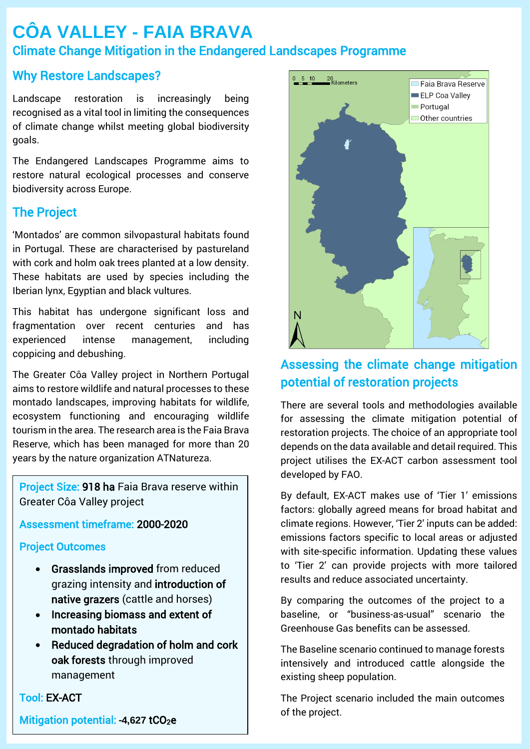# **CÔA VALLEY - FAIA BRAVA** Climate Change Mitigation in the Endangered Landscapes Programme

# Why Restore Landscapes?

Landscape restoration is increasingly being recognised as a vital tool in limiting the consequences of climate change whilst meeting global biodiversity goals.

The Endangered Landscapes Programme aims to restore natural ecological processes and conserve biodiversity across Europe.

# The Project

'Montados' are common silvopastural habitats found in Portugal. These are characterised by pastureland with cork and holm oak trees planted at a low density. These habitats are used by species including the Iberian lynx, Egyptian and black vultures.

This habitat has undergone significant loss and fragmentation over recent centuries and has experienced intense management, including coppicing and debushing.

The Greater Côa Valley project in Northern Portugal aims to restore wildlife and natural processes to these montado landscapes, improving habitats for wildlife, ecosystem functioning and encouraging wildlife tourism in the area. The research area is the Faia Brava Reserve, which has been managed for more than 20 years by the nature organization ATNatureza.

Project Size: 918 ha Faia Brava reserve within Greater Côa Valley project

### Assessment timeframe: 2000-2020

### Project Outcomes

- Grasslands improved from reduced grazing intensity and introduction of native grazers (cattle and horses)
- Increasing biomass and extent of montado habitats
- Reduced degradation of holm and cork oak forests through improved management

Tool: EX-ACT

Mitigation potential: -4,627 tCO<sub>2</sub>e



# Assessing the climate change mitigation potential of restoration projects

There are several tools and methodologies available for assessing the climate mitigation potential of restoration projects. The choice of an appropriate tool depends on the data available and detail required. This project utilises the EX-ACT carbon assessment tool developed by FAO.

By default, EX-ACT makes use of 'Tier 1' emissions factors: globally agreed means for broad habitat and climate regions. However, 'Tier 2' inputs can be added: emissions factors specific to local areas or adjusted with site-specific information. Updating these values to 'Tier 2' can provide projects with more tailored results and reduce associated uncertainty.

By comparing the outcomes of the project to a baseline, or "business-as-usual" scenario the Greenhouse Gas benefits can be assessed.

The Baseline scenario continued to manage forests intensively and introduced cattle alongside the existing sheep population.

The Project scenario included the main outcomes of the project.